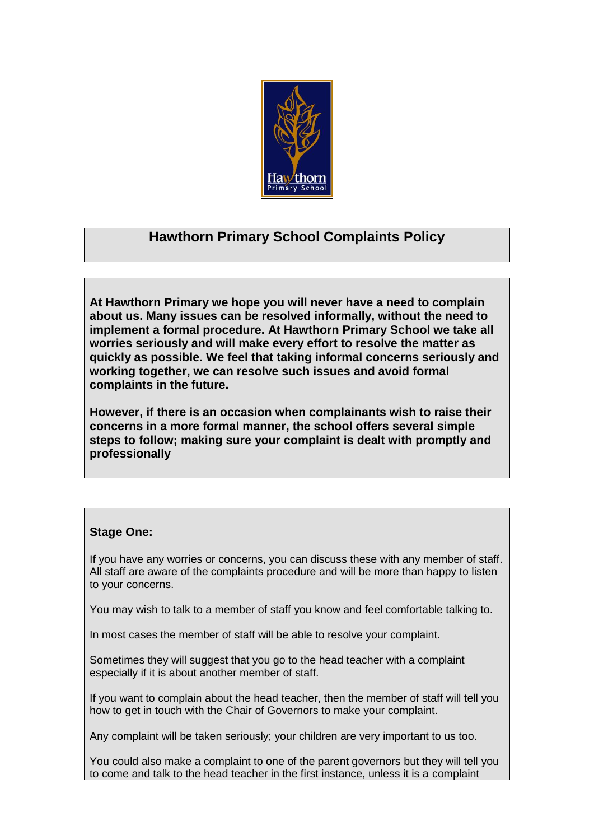

## **Hawthorn Primary School Complaints Policy**

**At Hawthorn Primary we hope you will never have a need to complain about us. Many issues can be resolved informally, without the need to implement a formal procedure. At Hawthorn Primary School we take all worries seriously and will make every effort to resolve the matter as quickly as possible. We feel that taking informal concerns seriously and working together, we can resolve such issues and avoid formal complaints in the future.** 

**However, if there is an occasion when complainants wish to raise their concerns in a more formal manner, the school offers several simple steps to follow; making sure your complaint is dealt with promptly and professionally** 

#### **Stage One:**

If you have any worries or concerns, you can discuss these with any member of staff. All staff are aware of the complaints procedure and will be more than happy to listen to your concerns.

You may wish to talk to a member of staff you know and feel comfortable talking to.

In most cases the member of staff will be able to resolve your complaint.

Sometimes they will suggest that you go to the head teacher with a complaint especially if it is about another member of staff.

If you want to complain about the head teacher, then the member of staff will tell you how to get in touch with the Chair of Governors to make your complaint.

Any complaint will be taken seriously; your children are very important to us too.

You could also make a complaint to one of the parent governors but they will tell you to come and talk to the head teacher in the first instance, unless it is a complaint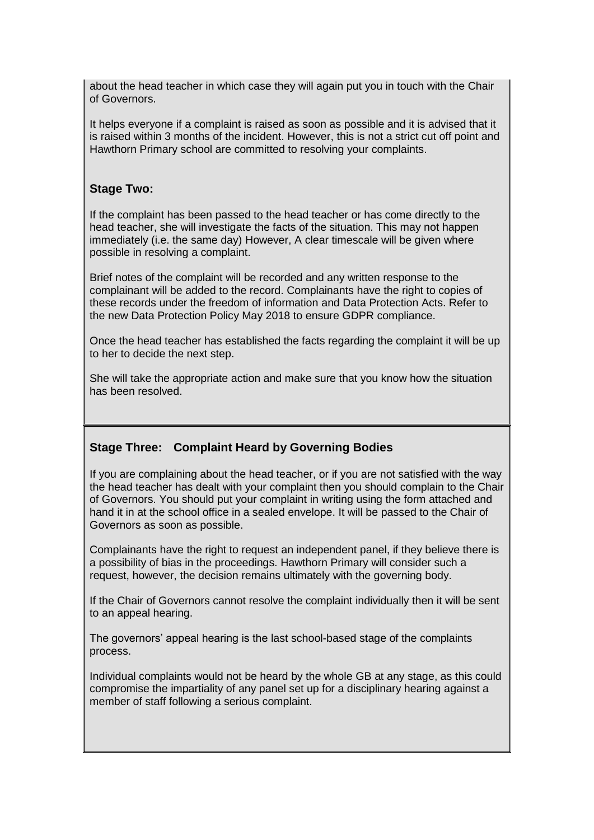about the head teacher in which case they will again put you in touch with the Chair of Governors.

It helps everyone if a complaint is raised as soon as possible and it is advised that it is raised within 3 months of the incident. However, this is not a strict cut off point and Hawthorn Primary school are committed to resolving your complaints.

#### **Stage Two:**

If the complaint has been passed to the head teacher or has come directly to the head teacher, she will investigate the facts of the situation. This may not happen immediately (i.e. the same day) However, A clear timescale will be given where possible in resolving a complaint.

Brief notes of the complaint will be recorded and any written response to the complainant will be added to the record. Complainants have the right to copies of these records under the freedom of information and Data Protection Acts. Refer to the new Data Protection Policy May 2018 to ensure GDPR compliance.

Once the head teacher has established the facts regarding the complaint it will be up to her to decide the next step.

She will take the appropriate action and make sure that you know how the situation has been resolved.

#### **Stage Three: Complaint Heard by Governing Bodies**

If you are complaining about the head teacher, or if you are not satisfied with the way the head teacher has dealt with your complaint then you should complain to the Chair of Governors. You should put your complaint in writing using the form attached and hand it in at the school office in a sealed envelope. It will be passed to the Chair of Governors as soon as possible.

Complainants have the right to request an independent panel, if they believe there is a possibility of bias in the proceedings. Hawthorn Primary will consider such a request, however, the decision remains ultimately with the governing body.

If the Chair of Governors cannot resolve the complaint individually then it will be sent to an appeal hearing.

The governors' appeal hearing is the last school-based stage of the complaints process.

Individual complaints would not be heard by the whole GB at any stage, as this could compromise the impartiality of any panel set up for a disciplinary hearing against a member of staff following a serious complaint.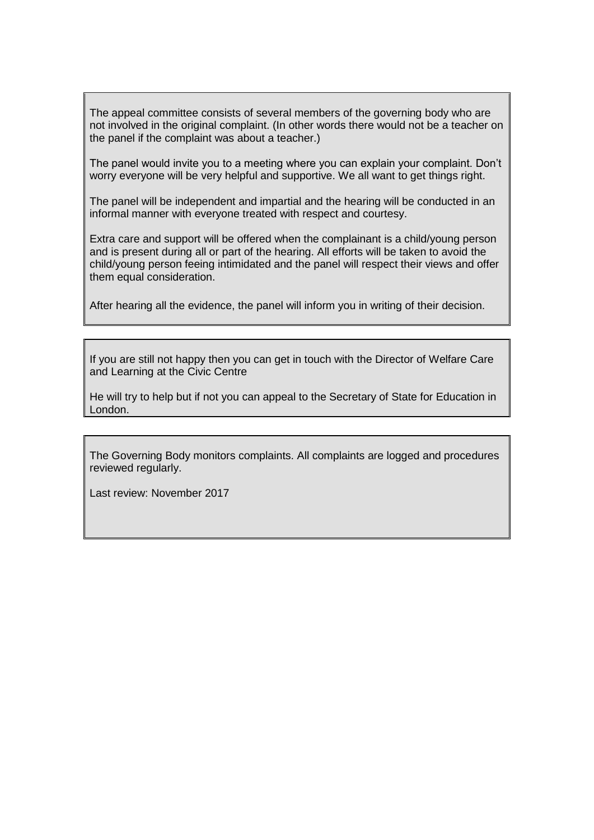The appeal committee consists of several members of the governing body who are not involved in the original complaint. (In other words there would not be a teacher on the panel if the complaint was about a teacher.)

The panel would invite you to a meeting where you can explain your complaint. Don't worry everyone will be very helpful and supportive. We all want to get things right.

The panel will be independent and impartial and the hearing will be conducted in an informal manner with everyone treated with respect and courtesy.

Extra care and support will be offered when the complainant is a child/young person and is present during all or part of the hearing. All efforts will be taken to avoid the child/young person feeing intimidated and the panel will respect their views and offer them equal consideration.

After hearing all the evidence, the panel will inform you in writing of their decision.

If you are still not happy then you can get in touch with the Director of Welfare Care and Learning at the Civic Centre

He will try to help but if not you can appeal to the Secretary of State for Education in London.

The Governing Body monitors complaints. All complaints are logged and procedures reviewed regularly.

Last review: November 2017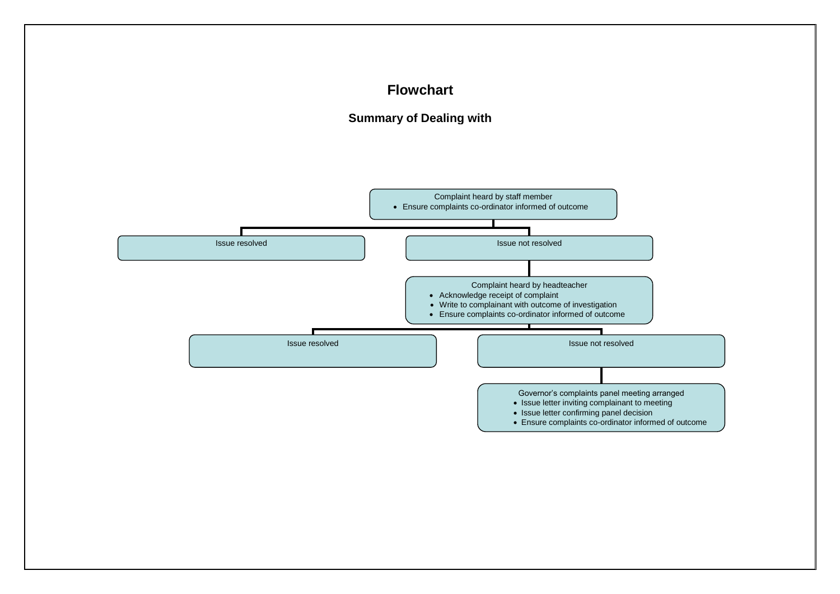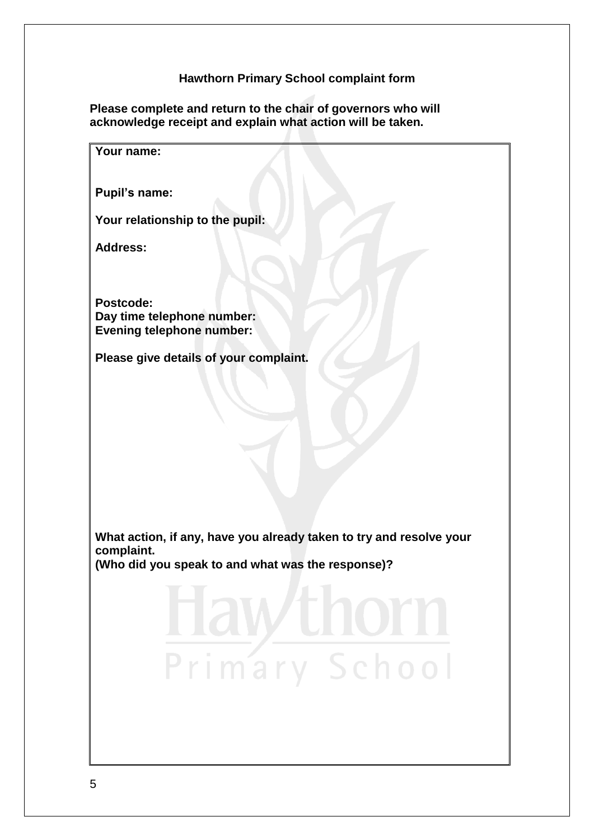### **Hawthorn Primary School complaint form**

**Please complete and return to the chair of governors who will acknowledge receipt and explain what action will be taken.**

| Your name:                                                                        |
|-----------------------------------------------------------------------------------|
| <b>Pupil's name:</b>                                                              |
| Your relationship to the pupil:                                                   |
| <b>Address:</b>                                                                   |
|                                                                                   |
| Postcode:<br>Day time telephone number:<br><b>Evening telephone number:</b>       |
| Please give details of your complaint.                                            |
|                                                                                   |
|                                                                                   |
|                                                                                   |
|                                                                                   |
|                                                                                   |
| What action, if any, have you already taken to try and resolve your<br>complaint. |
| (Who did you speak to and what was the response)?                                 |
| zunorn<br><b>AW</b>                                                               |
| Primary School                                                                    |
|                                                                                   |
|                                                                                   |
|                                                                                   |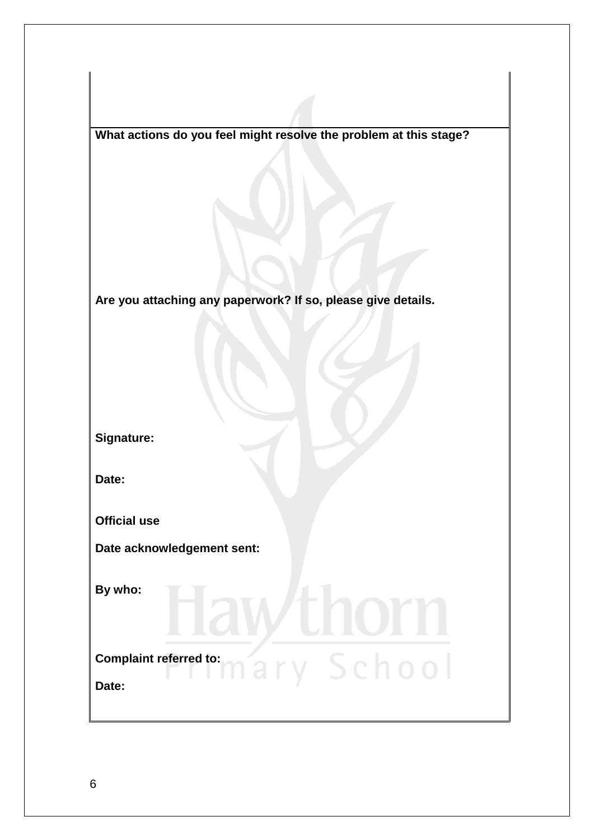**What actions do you feel might resolve the problem at this stage?**

**Are you attaching any paperwork? If so, please give details.**

**Signature:**

**Date:**

**Official use**

**Date acknowledgement sent:**

**By who:** 

# **Complaint referred to:**<br> **Complaint referred to:**<br> **Complaint referred to: Date:**

VH